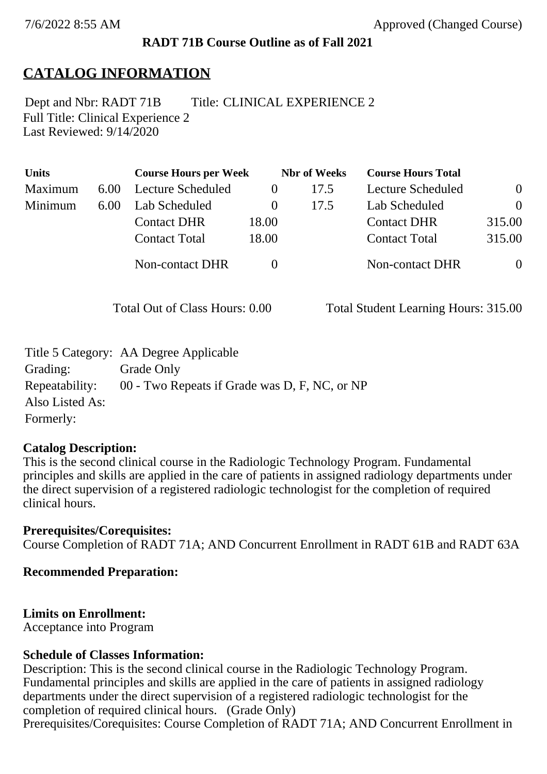#### **RADT 71B Course Outline as of Fall 2021**

# **CATALOG INFORMATION**

Full Title: Clinical Experience 2 Last Reviewed: 9/14/2020 Dept and Nbr: RADT 71B Title: CLINICAL EXPERIENCE 2

| <b>Units</b> |      | <b>Course Hours per Week</b> |          | <b>Nbr</b> of Weeks | <b>Course Hours Total</b> |                |
|--------------|------|------------------------------|----------|---------------------|---------------------------|----------------|
| Maximum      | 6.00 | Lecture Scheduled            |          | 17.5                | Lecture Scheduled         | $\overline{0}$ |
| Minimum      | 6.00 | Lab Scheduled                | $\theta$ | 17.5                | Lab Scheduled             | $\Omega$       |
|              |      | <b>Contact DHR</b>           | 18.00    |                     | <b>Contact DHR</b>        | 315.00         |
|              |      | <b>Contact Total</b>         | 18.00    |                     | <b>Contact Total</b>      | 315.00         |
|              |      | <b>Non-contact DHR</b>       |          |                     | <b>Non-contact DHR</b>    | $\overline{0}$ |

Total Out of Class Hours: 0.00 Total Student Learning Hours: 315.00

|                 | Title 5 Category: AA Degree Applicable        |
|-----------------|-----------------------------------------------|
| Grading:        | Grade Only                                    |
| Repeatability:  | 00 - Two Repeats if Grade was D, F, NC, or NP |
| Also Listed As: |                                               |
| Formerly:       |                                               |

#### **Catalog Description:**

This is the second clinical course in the Radiologic Technology Program. Fundamental principles and skills are applied in the care of patients in assigned radiology departments under the direct supervision of a registered radiologic technologist for the completion of required clinical hours.

**Prerequisites/Corequisites:** Course Completion of RADT 71A; AND Concurrent Enrollment in RADT 61B and RADT 63A

#### **Recommended Preparation:**

#### **Limits on Enrollment:**

Acceptance into Program

#### **Schedule of Classes Information:**

Description: This is the second clinical course in the Radiologic Technology Program. Fundamental principles and skills are applied in the care of patients in assigned radiology departments under the direct supervision of a registered radiologic technologist for the completion of required clinical hours. (Grade Only) Prerequisites/Corequisites: Course Completion of RADT 71A; AND Concurrent Enrollment in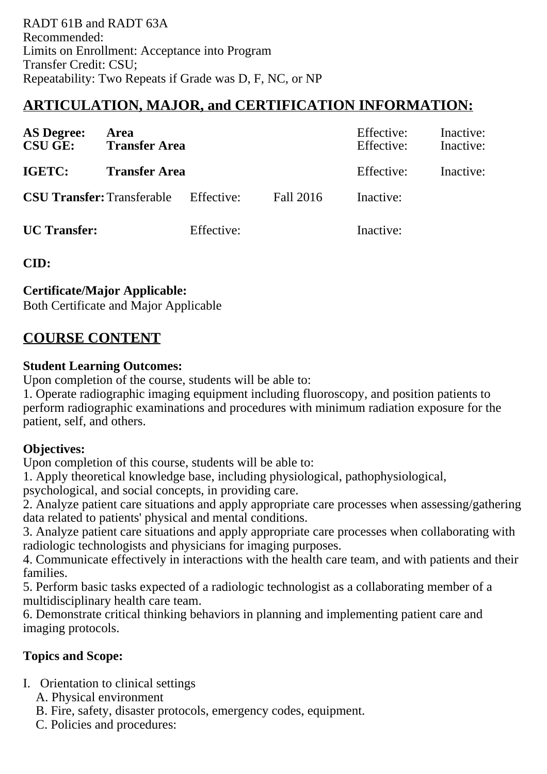# **ARTICULATION, MAJOR, and CERTIFICATION INFORMATION:**

| <b>AS Degree:</b><br><b>CSU GE:</b> | Area<br><b>Transfer Area</b>                 |            |           | Effective:<br>Effective: | Inactive:<br>Inactive: |
|-------------------------------------|----------------------------------------------|------------|-----------|--------------------------|------------------------|
| <b>IGETC:</b>                       | <b>Transfer Area</b>                         |            |           | Effective:               | Inactive:              |
|                                     | <b>CSU Transfer:</b> Transferable Effective: |            | Fall 2016 | Inactive:                |                        |
| <b>UC</b> Transfer:                 |                                              | Effective: |           | Inactive:                |                        |

**CID:**

## **Certificate/Major Applicable:**

[Both Certificate and Major Applicable](SR_ClassCheck.aspx?CourseKey=RADT71B)

# **COURSE CONTENT**

### **Student Learning Outcomes:**

Upon completion of the course, students will be able to:

1. Operate radiographic imaging equipment including fluoroscopy, and position patients to perform radiographic examinations and procedures with minimum radiation exposure for the patient, self, and others.

## **Objectives:**

Upon completion of this course, students will be able to:

1. Apply theoretical knowledge base, including physiological, pathophysiological, psychological, and social concepts, in providing care.

2. Analyze patient care situations and apply appropriate care processes when assessing/gathering data related to patients' physical and mental conditions.

3. Analyze patient care situations and apply appropriate care processes when collaborating with radiologic technologists and physicians for imaging purposes.

4. Communicate effectively in interactions with the health care team, and with patients and their families.

5. Perform basic tasks expected of a radiologic technologist as a collaborating member of a multidisciplinary health care team.

6. Demonstrate critical thinking behaviors in planning and implementing patient care and imaging protocols.

# **Topics and Scope:**

I. Orientation to clinical settings

- A. Physical environment
- B. Fire, safety, disaster protocols, emergency codes, equipment.
- C. Policies and procedures: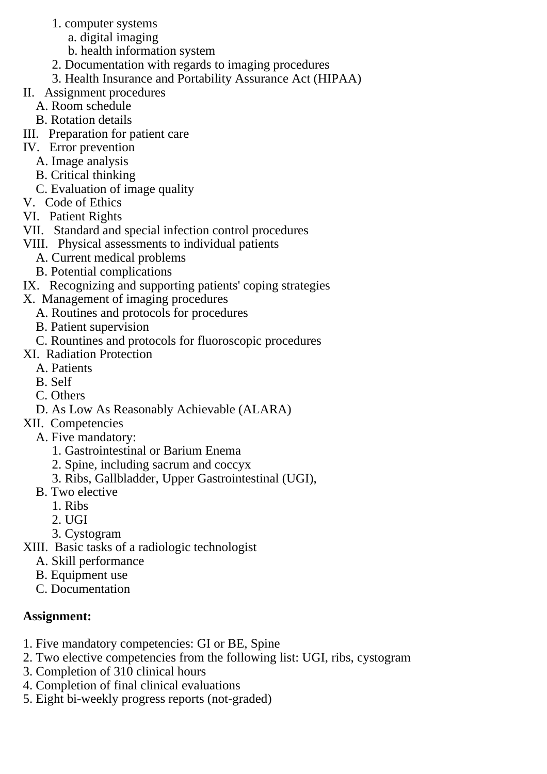- 1. computer systems
	- a. digital imaging
	- b. health information system
- 2. Documentation with regards to imaging procedures
- 3. Health Insurance and Portability Assurance Act (HIPAA)
- II. Assignment procedures
	- A. Room schedule
	- B. Rotation details
- III. Preparation for patient care
- IV. Error prevention
	- A. Image analysis
	- B. Critical thinking
	- C. Evaluation of image quality
- V. Code of Ethics
- VI. Patient Rights
- VII. Standard and special infection control procedures
- VIII. Physical assessments to individual patients
	- A. Current medical problems
	- B. Potential complications
- IX. Recognizing and supporting patients' coping strategies
- X. Management of imaging procedures
	- A. Routines and protocols for procedures
	- B. Patient supervision
	- C. Rountines and protocols for fluoroscopic procedures
- XI. Radiation Protection
	- A. Patients
	- B. Self
	- C. Others
	- D. As Low As Reasonably Achievable (ALARA)
- XII. Competencies
	- A. Five mandatory:
		- 1. Gastrointestinal or Barium Enema
		- 2. Spine, including sacrum and coccyx
		- 3. Ribs, Gallbladder, Upper Gastrointestinal (UGI),
	- B. Two elective
		- 1. Ribs
		- 2. UGI
		- 3. Cystogram
- XIII. Basic tasks of a radiologic technologist
	- A. Skill performance
	- B. Equipment use
	- C. Documentation

# **Assignment:**

- 1. Five mandatory competencies: GI or BE, Spine
- 2. Two elective competencies from the following list: UGI, ribs, cystogram
- 3. Completion of 310 clinical hours
- 4. Completion of final clinical evaluations
- 5. Eight bi-weekly progress reports (not-graded)